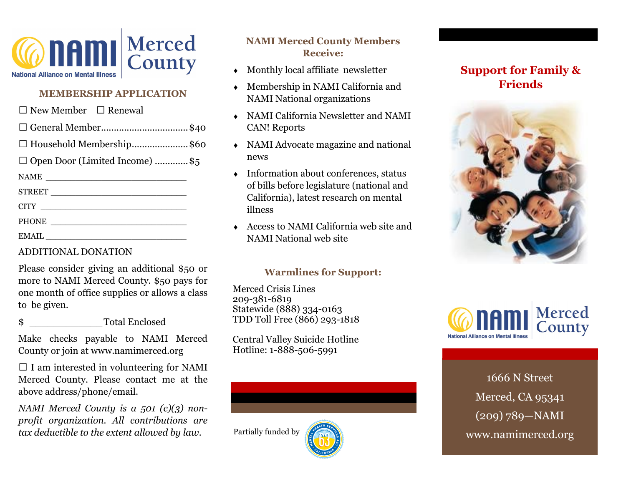

#### **MEMBERSHIP APPLICATION**

| $\Box$ New Member $\Box$ Renewal      |  |
|---------------------------------------|--|
| $\Box$ General Member\$40             |  |
| □ Household Membership\$60            |  |
| $\Box$ Open Door (Limited Income) \$5 |  |
| NAME                                  |  |
|                                       |  |
|                                       |  |
|                                       |  |
|                                       |  |

### ADDITIONAL DONATION

Please consider giving an additional \$50 or more to NAMI Merced County. \$50 pays for one month of office supplies or allows a class to be given.

\$ \_\_\_\_\_\_\_\_\_\_\_\_Total Enclosed

Make checks payable to NAMI Merced County or join at www.namimerced.org

 $\Box$  I am interested in volunteering for NAMI Merced County. Please contact me at the above address/phone/email.

*NAMI Merced County is a 501 (c)(3) nonprofit organization. All contributions are tax deductible to the extent allowed by law.*

### **NAMI Merced County Members Receive:**

- Monthly local affiliate newsletter
- Membership in NAMI California and NAMI National organizations
- NAMI California Newsletter and NAMI CAN! Reports
- NAMI Advocate magazine and national news
- $\leftarrow$  Information about conferences, status of bills before legislature (national and California), latest research on mental illness
- Access to NAMI California web site and NAMI National web site

### **Warmlines for Support:**

Merced Crisis Lines 209-381-6819 Statewide (888) 334-0163 TDD Toll Free (866) 293-1818

Central Valley Suicide Hotline Hotline: 1-888-506-5991



Partially funded by

# **Support for Family & Friends**





1666 N Street Merced, CA 95341 (209) 789—NAMI www.namimerced.org